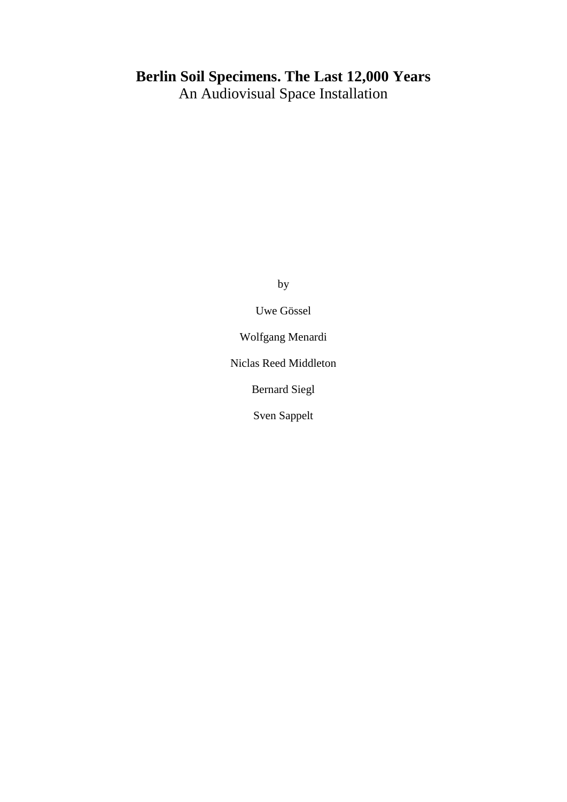# **Berlin Soil Specimens. The Last 12,000 Years**

An Audiovisual Space Installation

by

Uwe Gössel

Wolfgang Menardi

Niclas Reed Middleton

Bernard Siegl

Sven Sappelt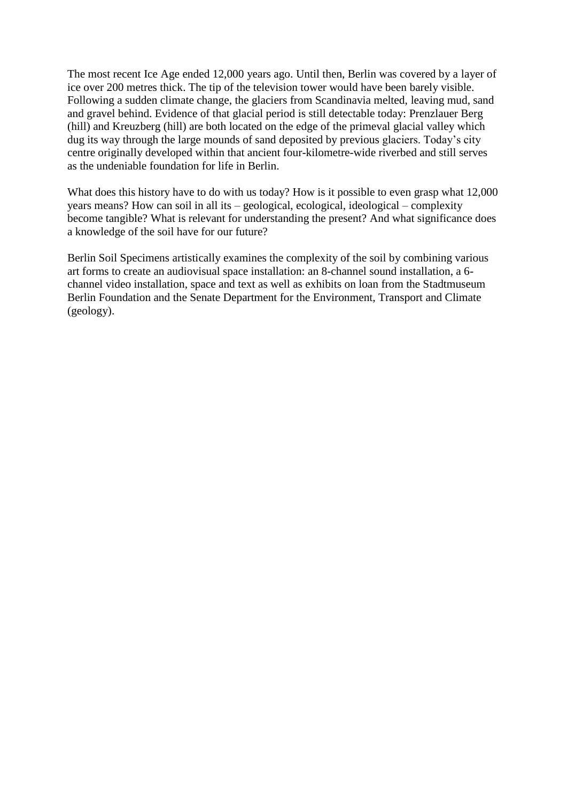The most recent Ice Age ended 12,000 years ago. Until then, Berlin was covered by a layer of ice over 200 metres thick. The tip of the television tower would have been barely visible. Following a sudden climate change, the glaciers from Scandinavia melted, leaving mud, sand and gravel behind. Evidence of that glacial period is still detectable today: Prenzlauer Berg (hill) and Kreuzberg (hill) are both located on the edge of the primeval glacial valley which dug its way through the large mounds of sand deposited by previous glaciers. Today's city centre originally developed within that ancient four-kilometre-wide riverbed and still serves as the undeniable foundation for life in Berlin.

What does this history have to do with us today? How is it possible to even grasp what 12,000 years means? How can soil in all its – geological, ecological, ideological – complexity become tangible? What is relevant for understanding the present? And what significance does a knowledge of the soil have for our future?

Berlin Soil Specimens artistically examines the complexity of the soil by combining various art forms to create an audiovisual space installation: an 8-channel sound installation, a 6 channel video installation, space and text as well as exhibits on loan from the Stadtmuseum Berlin Foundation and the Senate Department for the Environment, Transport and Climate (geology).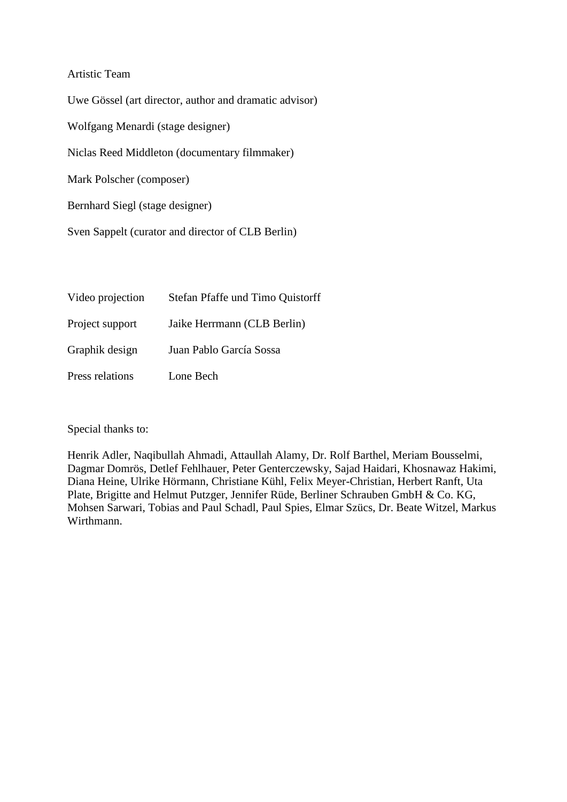## Artistic Team

Uwe Gössel (art director, author and dramatic advisor) Wolfgang Menardi (stage designer) Niclas Reed Middleton (documentary filmmaker) Mark Polscher (composer) Bernhard Siegl (stage designer)

Sven Sappelt (curator and director of CLB Berlin)

| Video projection | Stefan Pfaffe und Timo Quistorff |
|------------------|----------------------------------|
| Project support  | Jaike Herrmann (CLB Berlin)      |
| Graphik design   | Juan Pablo García Sossa          |
| Press relations  | Lone Bech                        |

Special thanks to:

Henrik Adler, Naqibullah Ahmadi, Attaullah Alamy, Dr. Rolf Barthel, Meriam Bousselmi, Dagmar Domrös, Detlef Fehlhauer, Peter Genterczewsky, Sajad Haidari, Khosnawaz Hakimi, Diana Heine, Ulrike Hörmann, Christiane Kühl, Felix Meyer-Christian, Herbert Ranft, Uta Plate, Brigitte and Helmut Putzger, Jennifer Rüde, Berliner Schrauben GmbH & Co. KG, Mohsen Sarwari, Tobias and Paul Schadl, Paul Spies, Elmar Szücs, Dr. Beate Witzel, Markus Wirthmann.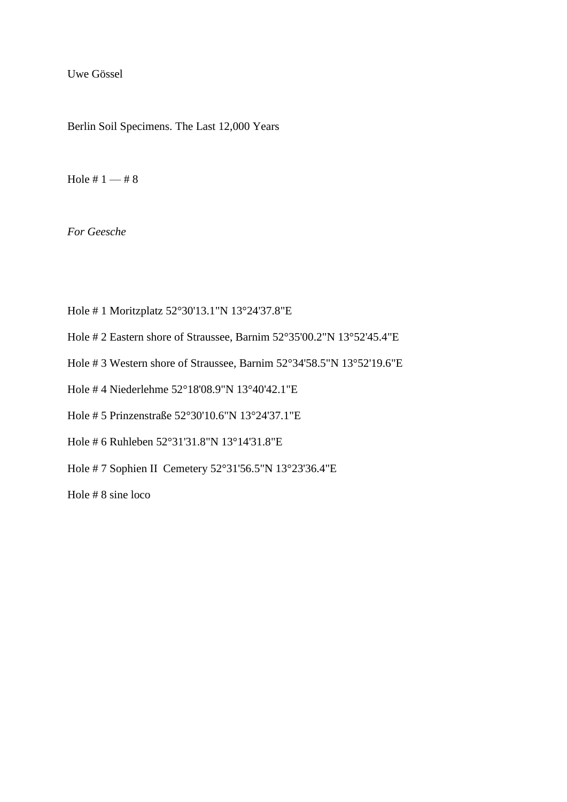Uwe Gössel

Berlin Soil Specimens. The Last 12,000 Years

Hole #  $1 - 48$ 

*For Geesche*

- Hole # 1 Moritzplatz 52°30'13.1"N 13°24'37.8"E
- Hole # 2 Eastern shore of Straussee, Barnim 52°35'00.2"N 13°52'45.4"E
- Hole # 3 Western shore of Straussee, Barnim 52°34'58.5"N 13°52'19.6"E
- Hole # 4 Niederlehme 52°18'08.9"N 13°40'42.1"E
- Hole # 5 Prinzenstraße 52°30'10.6"N 13°24'37.1"E
- Hole # 6 Ruhleben 52°31'31.8"N 13°14'31.8"E
- Hole # 7 Sophien II Cemetery 52°31'56.5"N 13°23'36.4"E

Hole # 8 sine loco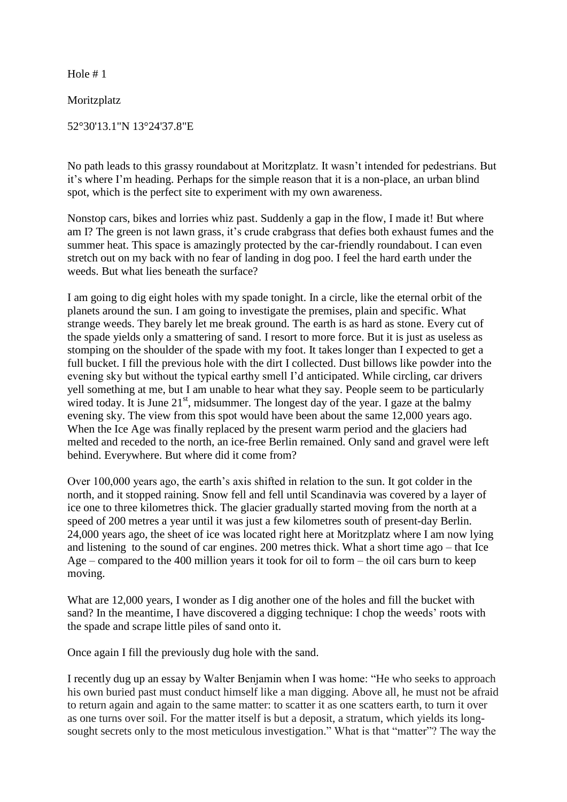Moritzplatz

52°30'13.1"N 13°24'37.8"E

No path leads to this grassy roundabout at Moritzplatz. It wasn't intended for pedestrians. But it's where I'm heading. Perhaps for the simple reason that it is a non-place, an urban blind spot, which is the perfect site to experiment with my own awareness.

Nonstop cars, bikes and lorries whiz past. Suddenly a gap in the flow, I made it! But where am I? The green is not lawn grass, it's crude crabgrass that defies both exhaust fumes and the summer heat. This space is amazingly protected by the car-friendly roundabout. I can even stretch out on my back with no fear of landing in dog poo. I feel the hard earth under the weeds. But what lies beneath the surface?

I am going to dig eight holes with my spade tonight. In a circle, like the eternal orbit of the planets around the sun. I am going to investigate the premises, plain and specific. What strange weeds. They barely let me break ground. The earth is as hard as stone. Every cut of the spade yields only a smattering of sand. I resort to more force. But it is just as useless as stomping on the shoulder of the spade with my foot. It takes longer than I expected to get a full bucket. I fill the previous hole with the dirt I collected. Dust billows like powder into the evening sky but without the typical earthy smell I'd anticipated. While circling, car drivers yell something at me, but I am unable to hear what they say. People seem to be particularly wired today. It is June  $21<sup>st</sup>$ , midsummer. The longest day of the year. I gaze at the balmy evening sky. The view from this spot would have been about the same 12,000 years ago. When the Ice Age was finally replaced by the present warm period and the glaciers had melted and receded to the north, an ice-free Berlin remained. Only sand and gravel were left behind. Everywhere. But where did it come from?

Over 100,000 years ago, the earth's axis shifted in relation to the sun. It got colder in the north, and it stopped raining. Snow fell and fell until Scandinavia was covered by a layer of ice one to three kilometres thick. The glacier gradually started moving from the north at a speed of 200 metres a year until it was just a few kilometres south of present-day Berlin. 24,000 years ago, the sheet of ice was located right here at Moritzplatz where I am now lying and listening to the sound of car engines. 200 metres thick. What a short time ago – that Ice Age – compared to the 400 million years it took for oil to form – the oil cars burn to keep moving.

What are 12,000 years. I wonder as I dig another one of the holes and fill the bucket with sand? In the meantime, I have discovered a digging technique: I chop the weeds' roots with the spade and scrape little piles of sand onto it.

Once again I fill the previously dug hole with the sand.

I recently dug up an essay by Walter Benjamin when I was home: "He who seeks to approach his own buried past must conduct himself like a man digging. Above all, he must not be afraid to return again and again to the same matter: to scatter it as one scatters earth, to turn it over as one turns over soil. For the matter itself is but a deposit, a stratum, which yields its longsought secrets only to the most meticulous investigation." What is that "matter"? The way the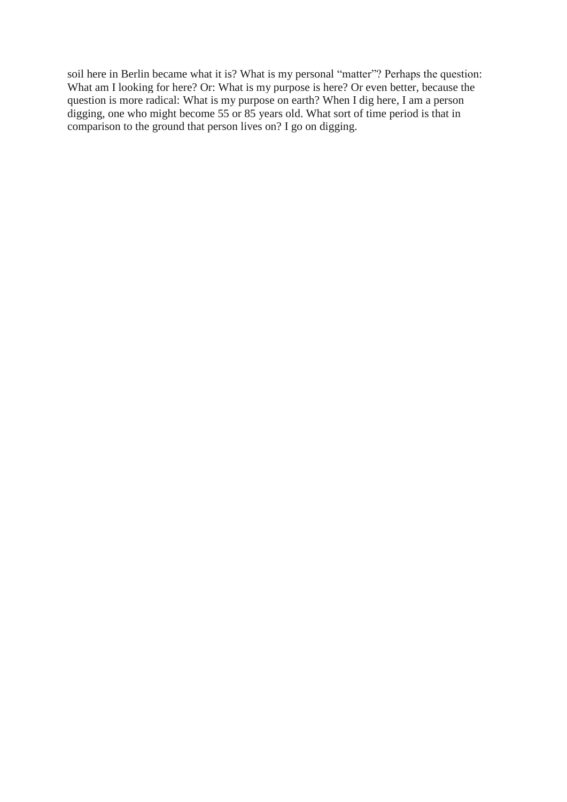soil here in Berlin became what it is? What is my personal "matter"? Perhaps the question: What am I looking for here? Or: What is my purpose is here? Or even better, because the question is more radical: What is my purpose on earth? When I dig here, I am a person digging, one who might become 55 or 85 years old. What sort of time period is that in comparison to the ground that person lives on? I go on digging.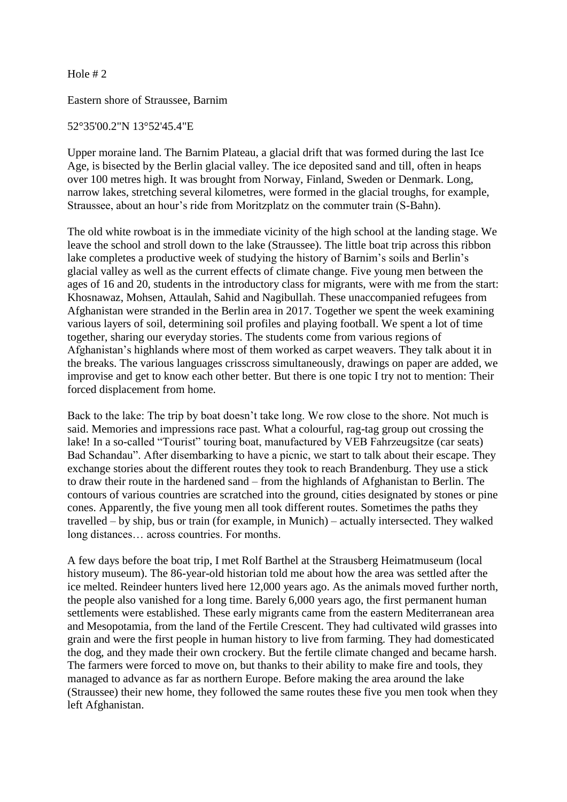Eastern shore of Straussee, Barnim

#### 52°35'00.2"N 13°52'45.4"E

Upper moraine land. The Barnim Plateau, a glacial drift that was formed during the last Ice Age, is bisected by the Berlin glacial valley. The ice deposited sand and till, often in heaps over 100 metres high. It was brought from Norway, Finland, Sweden or Denmark. Long, narrow lakes, stretching several kilometres, were formed in the glacial troughs, for example, Straussee, about an hour's ride from Moritzplatz on the commuter train (S-Bahn).

The old white rowboat is in the immediate vicinity of the high school at the landing stage. We leave the school and stroll down to the lake (Straussee). The little boat trip across this ribbon lake completes a productive week of studying the history of Barnim's soils and Berlin's glacial valley as well as the current effects of climate change. Five young men between the ages of 16 and 20, students in the introductory class for migrants, were with me from the start: Khosnawaz, Mohsen, Attaulah, Sahid and Nagibullah. These unaccompanied refugees from Afghanistan were stranded in the Berlin area in 2017. Together we spent the week examining various layers of soil, determining soil profiles and playing football. We spent a lot of time together, sharing our everyday stories. The students come from various regions of Afghanistan's highlands where most of them worked as carpet weavers. They talk about it in the breaks. The various languages crisscross simultaneously, drawings on paper are added, we improvise and get to know each other better. But there is one topic I try not to mention: Their forced displacement from home.

Back to the lake: The trip by boat doesn't take long. We row close to the shore. Not much is said. Memories and impressions race past. What a colourful, rag-tag group out crossing the lake! In a so-called "Tourist" touring boat, manufactured by VEB Fahrzeugsitze (car seats) Bad Schandau". After disembarking to have a picnic, we start to talk about their escape. They exchange stories about the different routes they took to reach Brandenburg. They use a stick to draw their route in the hardened sand – from the highlands of Afghanistan to Berlin. The contours of various countries are scratched into the ground, cities designated by stones or pine cones. Apparently, the five young men all took different routes. Sometimes the paths they travelled – by ship, bus or train (for example, in Munich) – actually intersected. They walked long distances… across countries. For months.

A few days before the boat trip, I met Rolf Barthel at the Strausberg Heimatmuseum (local history museum). The 86-year-old historian told me about how the area was settled after the ice melted. Reindeer hunters lived here 12,000 years ago. As the animals moved further north, the people also vanished for a long time. Barely 6,000 years ago, the first permanent human settlements were established. These early migrants came from the eastern Mediterranean area and Mesopotamia, from the land of the Fertile Crescent. They had cultivated wild grasses into grain and were the first people in human history to live from farming. They had domesticated the dog, and they made their own crockery. But the fertile climate changed and became harsh. The farmers were forced to move on, but thanks to their ability to make fire and tools, they managed to advance as far as northern Europe. Before making the area around the lake (Straussee) their new home, they followed the same routes these five you men took when they left Afghanistan.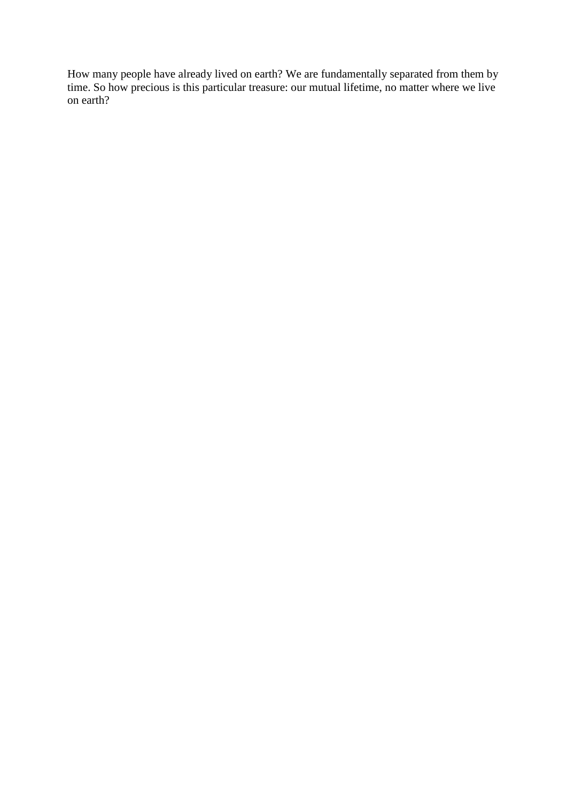How many people have already lived on earth? We are fundamentally separated from them by time. So how precious is this particular treasure: our mutual lifetime, no matter where we live on earth?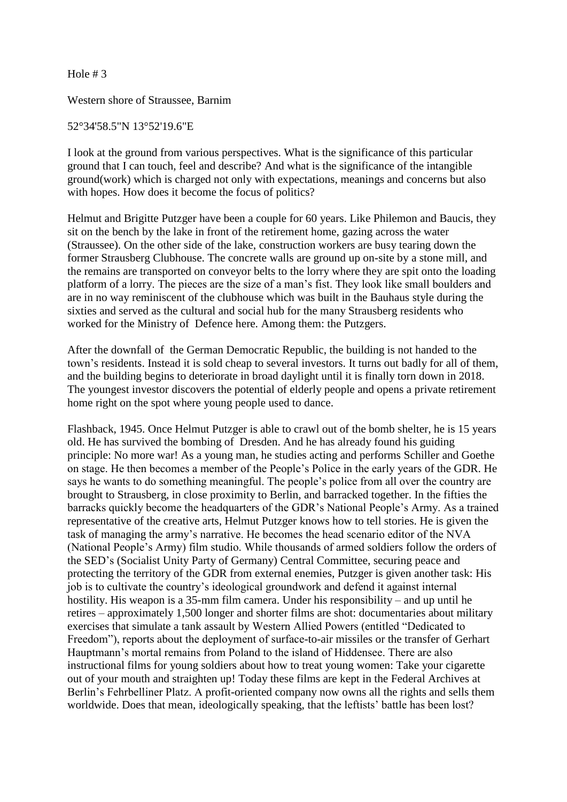Western shore of Straussee, Barnim

#### 52°34'58.5"N 13°52'19.6"E

I look at the ground from various perspectives. What is the significance of this particular ground that I can touch, feel and describe? And what is the significance of the intangible ground(work) which is charged not only with expectations, meanings and concerns but also with hopes. How does it become the focus of politics?

Helmut and Brigitte Putzger have been a couple for 60 years. Like Philemon and Baucis, they sit on the bench by the lake in front of the retirement home, gazing across the water (Straussee). On the other side of the lake, construction workers are busy tearing down the former Strausberg Clubhouse. The concrete walls are ground up on-site by a stone mill, and the remains are transported on conveyor belts to the lorry where they are spit onto the loading platform of a lorry. The pieces are the size of a man's fist. They look like small boulders and are in no way reminiscent of the clubhouse which was built in the Bauhaus style during the sixties and served as the cultural and social hub for the many Strausberg residents who worked for the Ministry of Defence here. Among them: the Putzgers.

After the downfall of the German Democratic Republic, the building is not handed to the town's residents. Instead it is sold cheap to several investors. It turns out badly for all of them, and the building begins to deteriorate in broad daylight until it is finally torn down in 2018. The youngest investor discovers the potential of elderly people and opens a private retirement home right on the spot where young people used to dance.

Flashback, 1945. Once Helmut Putzger is able to crawl out of the bomb shelter, he is 15 years old. He has survived the bombing of Dresden. And he has already found his guiding principle: No more war! As a young man, he studies acting and performs Schiller and Goethe on stage. He then becomes a member of the People's Police in the early years of the GDR. He says he wants to do something meaningful. The people's police from all over the country are brought to Strausberg, in close proximity to Berlin, and barracked together. In the fifties the barracks quickly become the headquarters of the GDR's National People's Army. As a trained representative of the creative arts, Helmut Putzger knows how to tell stories. He is given the task of managing the army's narrative. He becomes the head scenario editor of the NVA (National People's Army) film studio. While thousands of armed soldiers follow the orders of the SED's (Socialist Unity Party of Germany) Central Committee, securing peace and protecting the territory of the GDR from external enemies, Putzger is given another task: His job is to cultivate the country's ideological groundwork and defend it against internal hostility. His weapon is a 35-mm film camera. Under his responsibility – and up until he retires – approximately 1,500 longer and shorter films are shot: documentaries about military exercises that simulate a tank assault by Western Allied Powers (entitled "Dedicated to Freedom"), reports about the deployment of surface-to-air missiles or the transfer of Gerhart Hauptmann's mortal remains from Poland to the island of Hiddensee. There are also instructional films for young soldiers about how to treat young women: Take your cigarette out of your mouth and straighten up! Today these films are kept in the Federal Archives at Berlin's Fehrbelliner Platz. A profit-oriented company now owns all the rights and sells them worldwide. Does that mean, ideologically speaking, that the leftists' battle has been lost?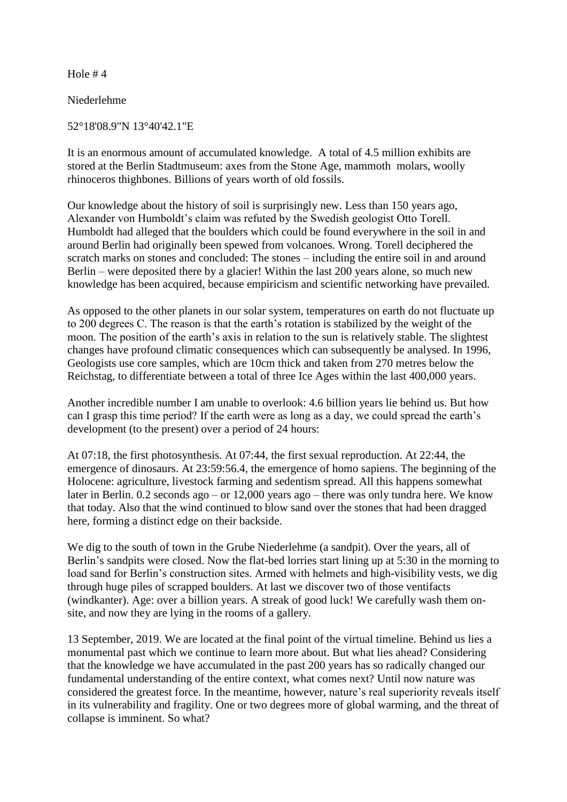Niederlehme

52°18'08.9"N 13°40'42.1"E

It is an enormous amount of accumulated knowledge. A total of 4.5 million exhibits are stored at the Berlin Stadtmuseum: axes from the Stone Age, mammoth molars, woolly rhinoceros thighbones. Billions of years worth of old fossils.

Our knowledge about the history of soil is surprisingly new. Less than 150 years ago, Alexander von Humboldt's claim was refuted by the Swedish geologist Otto Torell. Humboldt had alleged that the boulders which could be found everywhere in the soil in and around Berlin had originally been spewed from volcanoes. Wrong. Torell deciphered the scratch marks on stones and concluded: The stones – including the entire soil in and around Berlin – were deposited there by a glacier! Within the last 200 years alone, so much new knowledge has been acquired, because empiricism and scientific networking have prevailed.

As opposed to the other planets in our solar system, temperatures on earth do not fluctuate up to 200 degrees C. The reason is that the earth's rotation is stabilized by the weight of the moon. The position of the earth's axis in relation to the sun is relatively stable. The slightest changes have profound climatic consequences which can subsequently be analysed. In 1996, Geologists use core samples, which are 10cm thick and taken from 270 metres below the Reichstag, to differentiate between a total of three Ice Ages within the last 400,000 years.

Another incredible number I am unable to overlook: 4.6 billion years lie behind us. But how can I grasp this time period? If the earth were as long as a day, we could spread the earth's development (to the present) over a period of 24 hours:

At 07:18, the first photosynthesis. At 07:44, the first sexual reproduction. At 22:44, the emergence of dinosaurs. At 23:59:56.4, the emergence of homo sapiens. The beginning of the Holocene: agriculture, livestock farming and sedentism spread. All this happens somewhat later in Berlin. 0.2 seconds ago – or 12,000 years ago – there was only tundra here. We know that today. Also that the wind continued to blow sand over the stones that had been dragged here, forming a distinct edge on their backside.

We dig to the south of town in the Grube Niederlehme (a sandpit). Over the years, all of Berlin's sandpits were closed. Now the flat-bed lorries start lining up at 5:30 in the morning to load sand for Berlin's construction sites. Armed with helmets and high-visibility vests, we dig through huge piles of scrapped boulders. At last we discover two of those ventifacts (windkanter). Age: over a billion years. A streak of good luck! We carefully wash them onsite, and now they are lying in the rooms of a gallery.

13 September, 2019. We are located at the final point of the virtual timeline. Behind us lies a monumental past which we continue to learn more about. But what lies ahead? Considering that the knowledge we have accumulated in the past 200 years has so radically changed our fundamental understanding of the entire context, what comes next? Until now nature was considered the greatest force. In the meantime, however, nature's real superiority reveals itself in its vulnerability and fragility. One or two degrees more of global warming, and the threat of collapse is imminent. So what?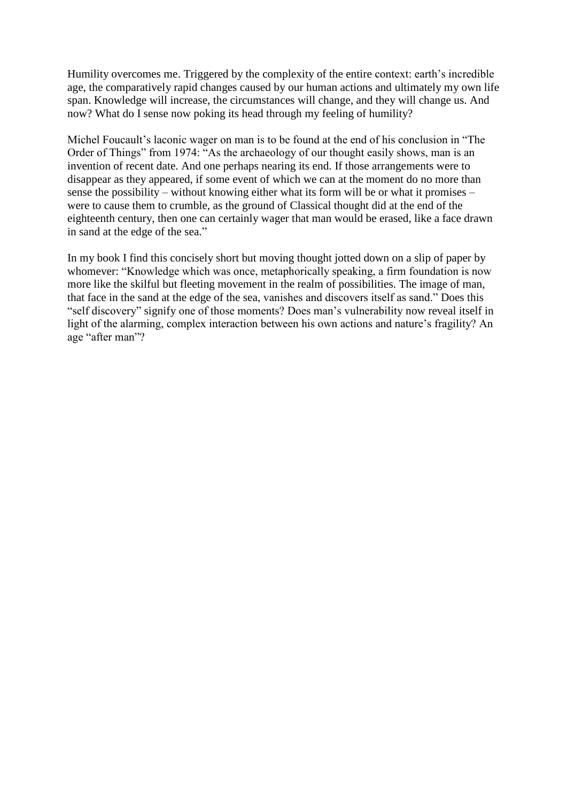Humility overcomes me. Triggered by the complexity of the entire context: earth's incredible age, the comparatively rapid changes caused by our human actions and ultimately my own life span. Knowledge will increase, the circumstances will change, and they will change us. And now? What do I sense now poking its head through my feeling of humility?

Michel Foucault's laconic wager on man is to be found at the end of his conclusion in "The Order of Things" from 1974: "As the archaeology of our thought easily shows, man is an invention of recent date. And one perhaps nearing its end. If those arrangements were to disappear as they appeared, if some event of which we can at the moment do no more than sense the possibility – without knowing either what its form will be or what it promises – were to cause them to crumble, as the ground of Classical thought did at the end of the eighteenth century, then one can certainly wager that man would be erased, like a face drawn in sand at the edge of the sea."

In my book I find this concisely short but moving thought jotted down on a slip of paper by whomever: "Knowledge which was once, metaphorically speaking, a firm foundation is now more like the skilful but fleeting movement in the realm of possibilities. The image of man, that face in the sand at the edge of the sea, vanishes and discovers itself as sand." Does this "self discovery" signify one of those moments? Does man's vulnerability now reveal itself in light of the alarming, complex interaction between his own actions and nature's fragility? An age "after man"?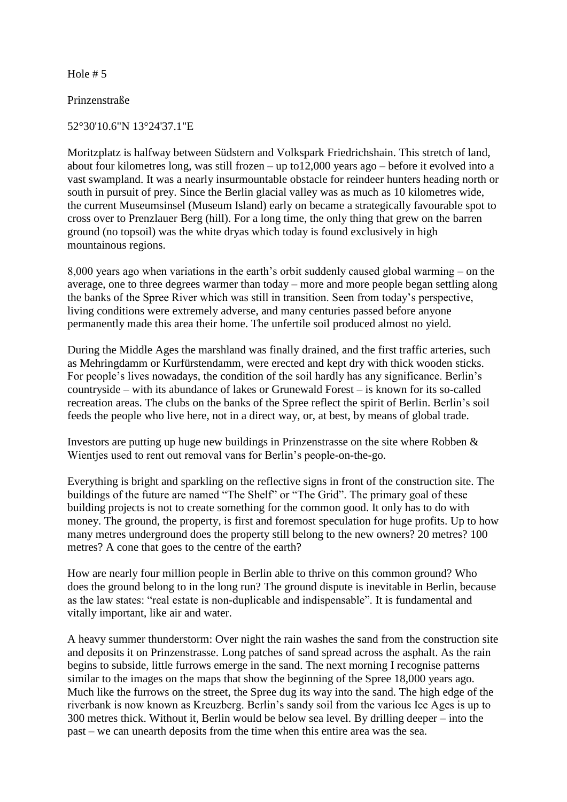Prinzenstraße

52°30'10.6"N 13°24'37.1"E

Moritzplatz is halfway between Südstern and Volkspark Friedrichshain. This stretch of land, about four kilometres long, was still frozen – up to12,000 years ago – before it evolved into a vast swampland. It was a nearly insurmountable obstacle for reindeer hunters heading north or south in pursuit of prey. Since the Berlin glacial valley was as much as 10 kilometres wide, the current Museumsinsel (Museum Island) early on became a strategically favourable spot to cross over to Prenzlauer Berg (hill). For a long time, the only thing that grew on the barren ground (no topsoil) was the white dryas which today is found exclusively in high mountainous regions.

8,000 years ago when variations in the earth's orbit suddenly caused global warming – on the average, one to three degrees warmer than today – more and more people began settling along the banks of the Spree River which was still in transition. Seen from today's perspective, living conditions were extremely adverse, and many centuries passed before anyone permanently made this area their home. The unfertile soil produced almost no yield.

During the Middle Ages the marshland was finally drained, and the first traffic arteries, such as Mehringdamm or Kurfürstendamm, were erected and kept dry with thick wooden sticks. For people's lives nowadays, the condition of the soil hardly has any significance. Berlin's countryside – with its abundance of lakes or Grunewald Forest – is known for its so-called recreation areas. The clubs on the banks of the Spree reflect the spirit of Berlin. Berlin's soil feeds the people who live here, not in a direct way, or, at best, by means of global trade.

Investors are putting up huge new buildings in Prinzenstrasse on the site where Robben & Wientjes used to rent out removal vans for Berlin's people-on-the-go.

Everything is bright and sparkling on the reflective signs in front of the construction site. The buildings of the future are named "The Shelf" or "The Grid". The primary goal of these building projects is not to create something for the common good. It only has to do with money. The ground, the property, is first and foremost speculation for huge profits. Up to how many metres underground does the property still belong to the new owners? 20 metres? 100 metres? A cone that goes to the centre of the earth?

How are nearly four million people in Berlin able to thrive on this common ground? Who does the ground belong to in the long run? The ground dispute is inevitable in Berlin, because as the law states: "real estate is non-duplicable and indispensable". It is fundamental and vitally important, like air and water.

A heavy summer thunderstorm: Over night the rain washes the sand from the construction site and deposits it on Prinzenstrasse. Long patches of sand spread across the asphalt. As the rain begins to subside, little furrows emerge in the sand. The next morning I recognise patterns similar to the images on the maps that show the beginning of the Spree 18,000 years ago. Much like the furrows on the street, the Spree dug its way into the sand. The high edge of the riverbank is now known as Kreuzberg. Berlin's sandy soil from the various Ice Ages is up to 300 metres thick. Without it, Berlin would be below sea level. By drilling deeper – into the past – we can unearth deposits from the time when this entire area was the sea.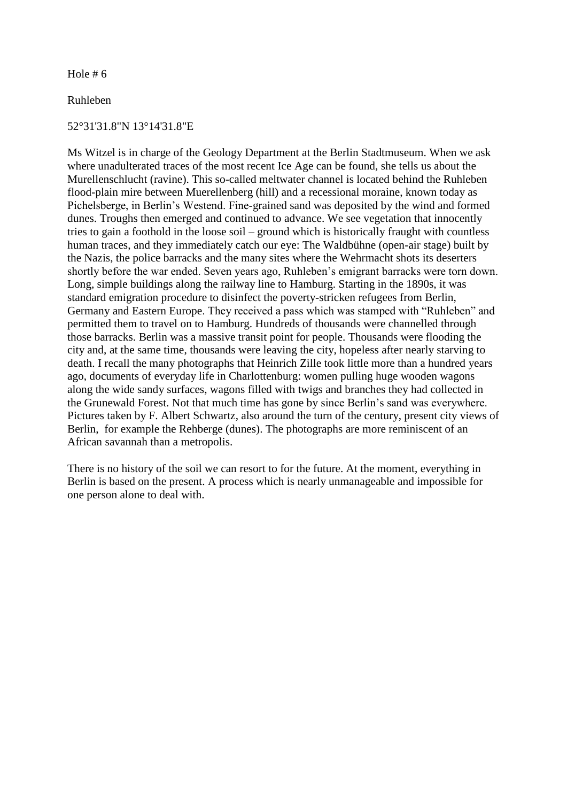Ruhleben

#### 52°31'31.8"N 13°14'31.8"E

Ms Witzel is in charge of the Geology Department at the Berlin Stadtmuseum. When we ask where unadulterated traces of the most recent Ice Age can be found, she tells us about the Murellenschlucht (ravine). This so-called meltwater channel is located behind the Ruhleben flood-plain mire between Muerellenberg (hill) and a recessional moraine, known today as Pichelsberge, in Berlin's Westend. Fine-grained sand was deposited by the wind and formed dunes. Troughs then emerged and continued to advance. We see vegetation that innocently tries to gain a foothold in the loose soil – ground which is historically fraught with countless human traces, and they immediately catch our eye: The Waldbühne (open-air stage) built by the Nazis, the police barracks and the many sites where the Wehrmacht shots its deserters shortly before the war ended. Seven years ago, Ruhleben's emigrant barracks were torn down. Long, simple buildings along the railway line to Hamburg. Starting in the 1890s, it was standard emigration procedure to disinfect the poverty-stricken refugees from Berlin, Germany and Eastern Europe. They received a pass which was stamped with "Ruhleben" and permitted them to travel on to Hamburg. Hundreds of thousands were channelled through those barracks. Berlin was a massive transit point for people. Thousands were flooding the city and, at the same time, thousands were leaving the city, hopeless after nearly starving to death. I recall the many photographs that Heinrich Zille took little more than a hundred years ago, documents of everyday life in Charlottenburg: women pulling huge wooden wagons along the wide sandy surfaces, wagons filled with twigs and branches they had collected in the Grunewald Forest. Not that much time has gone by since Berlin's sand was everywhere. Pictures taken by F. Albert Schwartz, also around the turn of the century, present city views of Berlin, for example the Rehberge (dunes). The photographs are more reminiscent of an African savannah than a metropolis.

There is no history of the soil we can resort to for the future. At the moment, everything in Berlin is based on the present. A process which is nearly unmanageable and impossible for one person alone to deal with.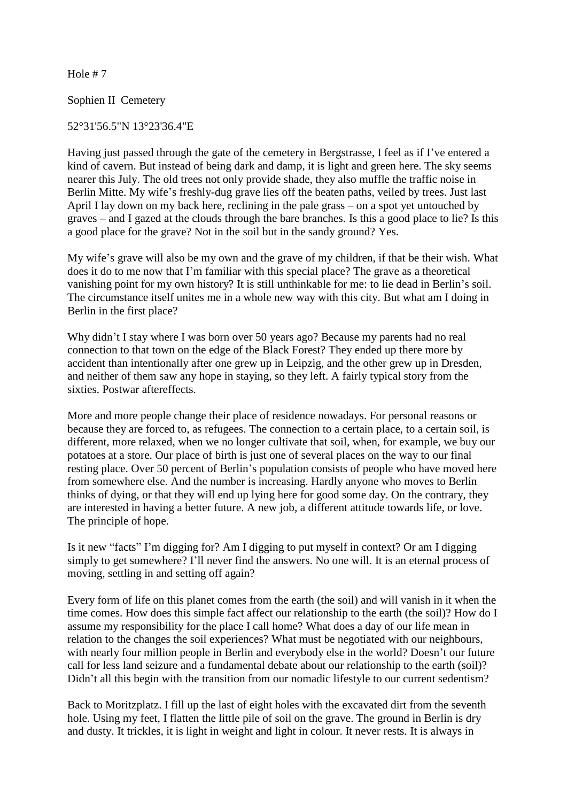Sophien II Cemetery

### 52°31'56.5"N 13°23'36.4"E

Having just passed through the gate of the cemetery in Bergstrasse, I feel as if I've entered a kind of cavern. But instead of being dark and damp, it is light and green here. The sky seems nearer this July. The old trees not only provide shade, they also muffle the traffic noise in Berlin Mitte. My wife's freshly-dug grave lies off the beaten paths, veiled by trees. Just last April I lay down on my back here, reclining in the pale grass – on a spot yet untouched by graves – and I gazed at the clouds through the bare branches. Is this a good place to lie? Is this a good place for the grave? Not in the soil but in the sandy ground? Yes.

My wife's grave will also be my own and the grave of my children, if that be their wish. What does it do to me now that I'm familiar with this special place? The grave as a theoretical vanishing point for my own history? It is still unthinkable for me: to lie dead in Berlin's soil. The circumstance itself unites me in a whole new way with this city. But what am I doing in Berlin in the first place?

Why didn't I stay where I was born over 50 years ago? Because my parents had no real connection to that town on the edge of the Black Forest? They ended up there more by accident than intentionally after one grew up in Leipzig, and the other grew up in Dresden, and neither of them saw any hope in staying, so they left. A fairly typical story from the sixties. Postwar aftereffects.

More and more people change their place of residence nowadays. For personal reasons or because they are forced to, as refugees. The connection to a certain place, to a certain soil, is different, more relaxed, when we no longer cultivate that soil, when, for example, we buy our potatoes at a store. Our place of birth is just one of several places on the way to our final resting place. Over 50 percent of Berlin's population consists of people who have moved here from somewhere else. And the number is increasing. Hardly anyone who moves to Berlin thinks of dying, or that they will end up lying here for good some day. On the contrary, they are interested in having a better future. A new job, a different attitude towards life, or love. The principle of hope.

Is it new "facts" I'm digging for? Am I digging to put myself in context? Or am I digging simply to get somewhere? I'll never find the answers. No one will. It is an eternal process of moving, settling in and setting off again?

Every form of life on this planet comes from the earth (the soil) and will vanish in it when the time comes. How does this simple fact affect our relationship to the earth (the soil)? How do I assume my responsibility for the place I call home? What does a day of our life mean in relation to the changes the soil experiences? What must be negotiated with our neighbours, with nearly four million people in Berlin and everybody else in the world? Doesn't our future call for less land seizure and a fundamental debate about our relationship to the earth (soil)? Didn't all this begin with the transition from our nomadic lifestyle to our current sedentism?

Back to Moritzplatz. I fill up the last of eight holes with the excavated dirt from the seventh hole. Using my feet, I flatten the little pile of soil on the grave. The ground in Berlin is dry and dusty. It trickles, it is light in weight and light in colour. It never rests. It is always in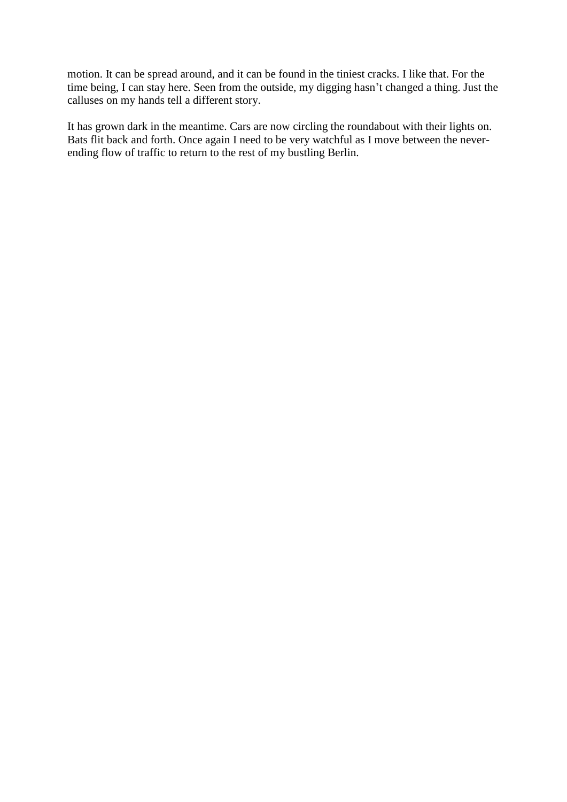motion. It can be spread around, and it can be found in the tiniest cracks. I like that. For the time being, I can stay here. Seen from the outside, my digging hasn't changed a thing. Just the calluses on my hands tell a different story.

It has grown dark in the meantime. Cars are now circling the roundabout with their lights on. Bats flit back and forth. Once again I need to be very watchful as I move between the neverending flow of traffic to return to the rest of my bustling Berlin.